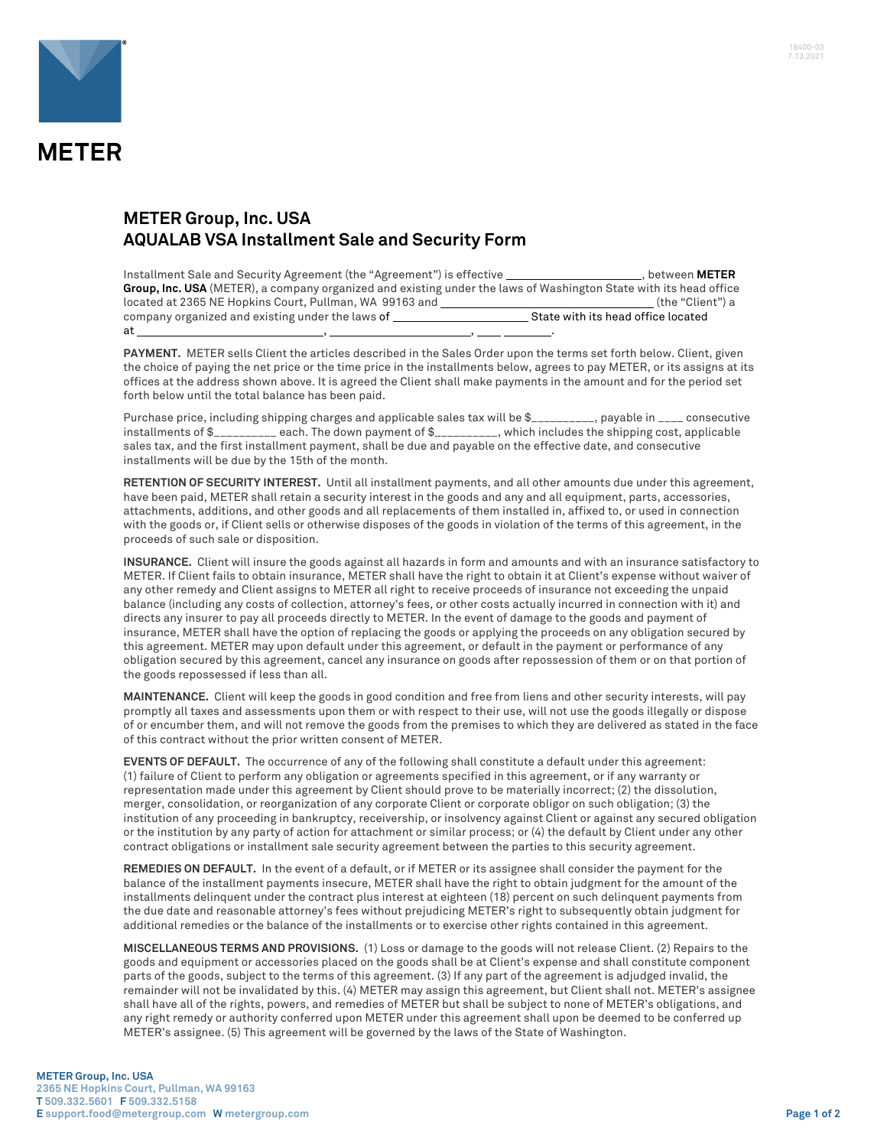

## **METER Group, Inc. USA AQUALAB VSA Installment Sale and Security Form**

| Installment Sale and Security Agreement (the "Agreement") is effective                                            | . between <b>METER</b>             |
|-------------------------------------------------------------------------------------------------------------------|------------------------------------|
| Group, Inc. USA (METER), a company organized and existing under the laws of Washington State with its head office |                                    |
| located at 2365 NE Hopkins Court, Pullman, WA 99163 and                                                           | (the "Client") a                   |
| company organized and existing under the laws of                                                                  | State with its head office located |
| at                                                                                                                |                                    |

**PAYMENT.** METER sells Client the articles described in the Sales Order upon the terms set forth below. Client, given the choice of paying the net price or the time price in the installments below, agrees to pay METER, or its assigns at its offices at the address shown above. It is agreed the Client shall make payments in the amount and for the period set forth below until the total balance has been paid.

Purchase price, including shipping charges and applicable sales tax will be \$\_\_\_\_\_\_\_\_\_, payable in \_\_\_\_ consecutive installments of \$\_\_\_\_\_\_\_\_\_\_ each. The down payment of \$\_\_\_\_\_\_\_\_\_\_, which includes the shipping cost, applicable sales tax, and the first installment payment, shall be due and payable on the effective date, and consecutive installments will be due by the 15th of the month.

**RETENTION OF SECURITY INTEREST.** Until all installment payments, and all other amounts due under this agreement, have been paid, METER shall retain a security interest in the goods and any and all equipment, parts, accessories, attachments, additions, and other goods and all replacements of them installed in, affixed to, or used in connection with the goods or, if Client sells or otherwise disposes of the goods in violation of the terms of this agreement, in the proceeds of such sale or disposition.

**INSURANCE.** Client will insure the goods against all hazards in form and amounts and with an insurance satisfactory to METER. If Client fails to obtain insurance, METER shall have the right to obtain it at Client's expense without waiver of any other remedy and Client assigns to METER all right to receive proceeds of insurance not exceeding the unpaid balance (including any costs of collection, attorney's fees, or other costs actually incurred in connection with it) and directs any insurer to pay all proceeds directly to METER. In the event of damage to the goods and payment of insurance, METER shall have the option of replacing the goods or applying the proceeds on any obligation secured by this agreement. METER may upon default under this agreement, or default in the payment or performance of any obligation secured by this agreement, cancel any insurance on goods after repossession of them or on that portion of the goods repossessed if less than all.

**MAINTENANCE.** Client will keep the goods in good condition and free from liens and other security interests, will pay promptly all taxes and assessments upon them or with respect to their use, will not use the goods illegally or dispose of or encumber them, and will not remove the goods from the premises to which they are delivered as stated in the face of this contract without the prior written consent of METER.

**EVENTS OF DEFAULT.** The occurrence of any of the following shall constitute a default under this agreement: (1) failure of Client to perform any obligation or agreements specified in this agreement, or if any warranty or representation made under this agreement by Client should prove to be materially incorrect; (2) the dissolution, merger, consolidation, or reorganization of any corporate Client or corporate obligor on such obligation; (3) the institution of any proceeding in bankruptcy, receivership, or insolvency against Client or against any secured obligation or the institution by any party of action for attachment or similar process; or (4) the default by Client under any other contract obligations or installment sale security agreement between the parties to this security agreement.

**REMEDIES ON DEFAULT.** In the event of a default, or if METER or its assignee shall consider the payment for the balance of the installment payments insecure, METER shall have the right to obtain judgment for the amount of the installments delinquent under the contract plus interest at eighteen (18) percent on such delinquent payments from the due date and reasonable attorney's fees without prejudicing METER's right to subsequently obtain judgment for additional remedies or the balance of the installments or to exercise other rights contained in this agreement.

**MISCELLANEOUS TERMS AND PROVISIONS.** (1) Loss or damage to the goods will not release Client. (2) Repairs to the goods and equipment or accessories placed on the goods shall be at Client's expense and shall constitute component parts of the goods, subject to the terms of this agreement. (3) If any part of the agreement is adjudged invalid, the remainder will not be invalidated by this. (4) METER may assign this agreement, but Client shall not. METER's assignee shall have all of the rights, powers, and remedies of METER but shall be subject to none of METER's obligations, and any right remedy or authority conferred upon METER under this agreement shall upon be deemed to be conferred up METER's assignee. (5) This agreement will be governed by the laws of the State of Washington.